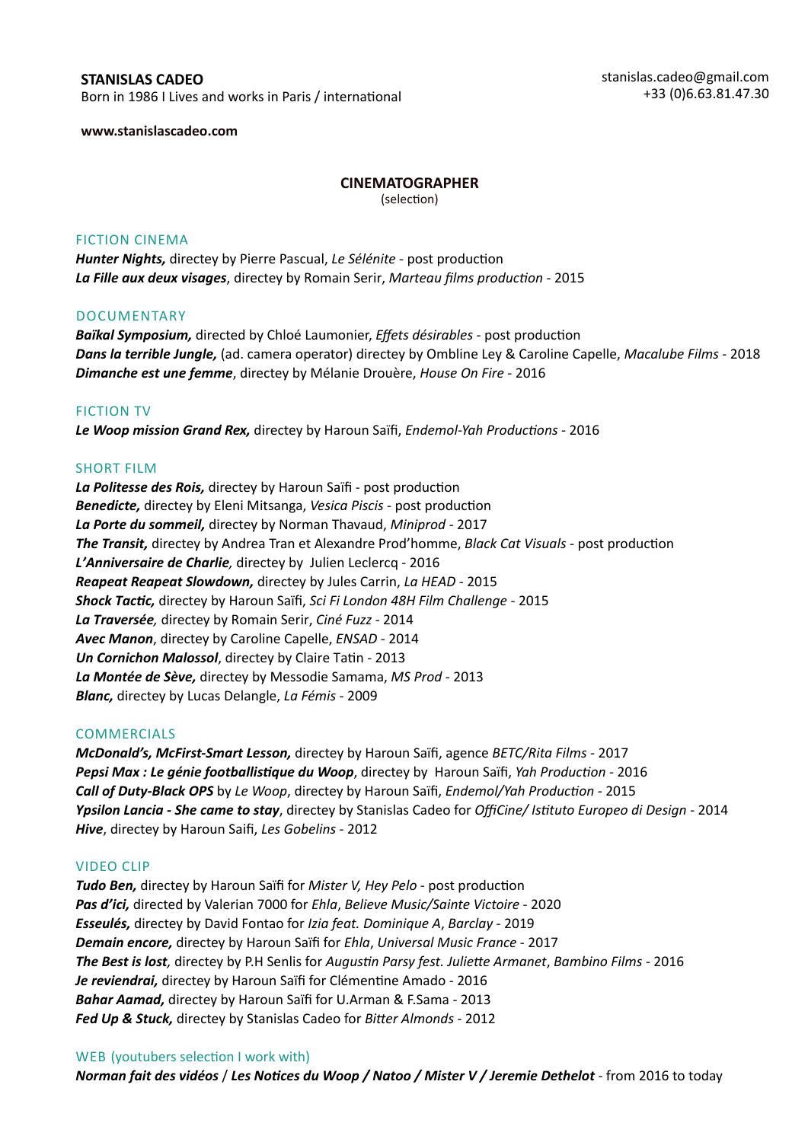# **STANISLAS CADEO**

Born in 1986 I Lives and works in Paris / international

**www.stanislascadeo.com**

## **CINEMATOGRAPHER**

(selection)

#### FICTION CINEMA

*Hunter Nights,* directey by Pierre Pascual, *Le Sélénite* - post production *La Fille aux deux visages*, directey by Romain Serir, *Marteau films production* - 2015

#### **DOCUMENTARY**

*Baïkal Symposium,* directed by Chloé Laumonier, *Effets désirables* - post production *Dans la terrible Jungle,* (ad. camera operator) directey by Ombline Ley & Caroline Capelle, *Macalube Films* - 2018 *Dimanche est une femme*, directey by Mélanie Drouère, *House On Fire* - 2016

### FICTION TV

*Le Woop mission Grand Rex,* directey by Haroun Saïfi, *Endemol-Yah Productions -* 2016

### SHORT FILM

*La Politesse des Rois,* directey by Haroun Saïfi - post production *Benedicte,* directey by Eleni Mitsanga, *Vesica Piscis* - post production *La Porte du sommeil,* directey by Norman Thavaud, *Miniprod* - 2017 *The Transit,* directey by Andrea Tran et Alexandre Prod'homme, *Black Cat Visuals* - post production *L'Anniversaire de Charlie,* directey by Julien Leclercq - 2016 *Reapeat Reapeat Slowdown,* directey by Jules Carrin, *La HEAD* - 2015 *Shock Tactic,* directey by Haroun Saïfi, *Sci Fi London 48H Film Challenge* - 2015 *La Traversée,* directey by Romain Serir, *Ciné Fuzz* - 2014 *Avec Manon*, directey by Caroline Capelle, *ENSAD* - 2014 *Un Cornichon Malossol*, directey by Claire Tatin - 2013 *La Montée de Sève,* directey by Messodie Samama, *MS Prod* - 2013 *Blanc,* directey by Lucas Delangle, *La Fémis* - 2009

# **COMMERCIALS**

*McDonald's, McFirst-Smart Lesson,* directey by Haroun Saïfi, agence *BETC/Rita Films* - 2017 *Pepsi Max : Le génie footballistique du Woop*, directey by Haroun Saïfi, *Yah Production* - 2016 *Call of Duty-Black OPS* by *Le Woop*, directey by Haroun Saïfi, *Endemol/Yah Production* - 2015 *Ypsilon Lancia - She came to stay*, directey by Stanislas Cadeo for *OffiCine/ Istituto Europeo di Design* - 2014 *Hive*, directey by Haroun Saifi, *Les Gobelins* - 2012

#### VIDEO CLIP

*Tudo Ben,* directey by Haroun Saïfi for *Mister V, Hey Pelo* - post production *Pas d'ici,* directed by Valerian 7000 for *Ehla*, *Believe Music/Sainte Victoire* - 2020 *Esseulés,* directey by David Fontao for *Izia feat. Dominique A*, *Barclay* - 2019 *Demain encore,* directey by Haroun Saïfi for *Ehla*, *Universal Music France* - 2017 *The Best is lost,* directey by P.H Senlis for *Augustin Parsy fest. Juliette Armanet*, *Bambino Films* - 2016 *Je reviendrai,* directey by Haroun Saïfi for Clémentine Amado - 2016 *Bahar Aamad,* directey by Haroun Saïfi for U.Arman & F.Sama - 2013 *Fed Up & Stuck,* directey by Stanislas Cadeo for *Bitter Almonds* - 2012

# WEB (youtubers selection I work with)

*Norman fait des vidéos* / *Les Notices du Woop / Natoo / Mister V / Jeremie Dethelot* - from 2016 to today